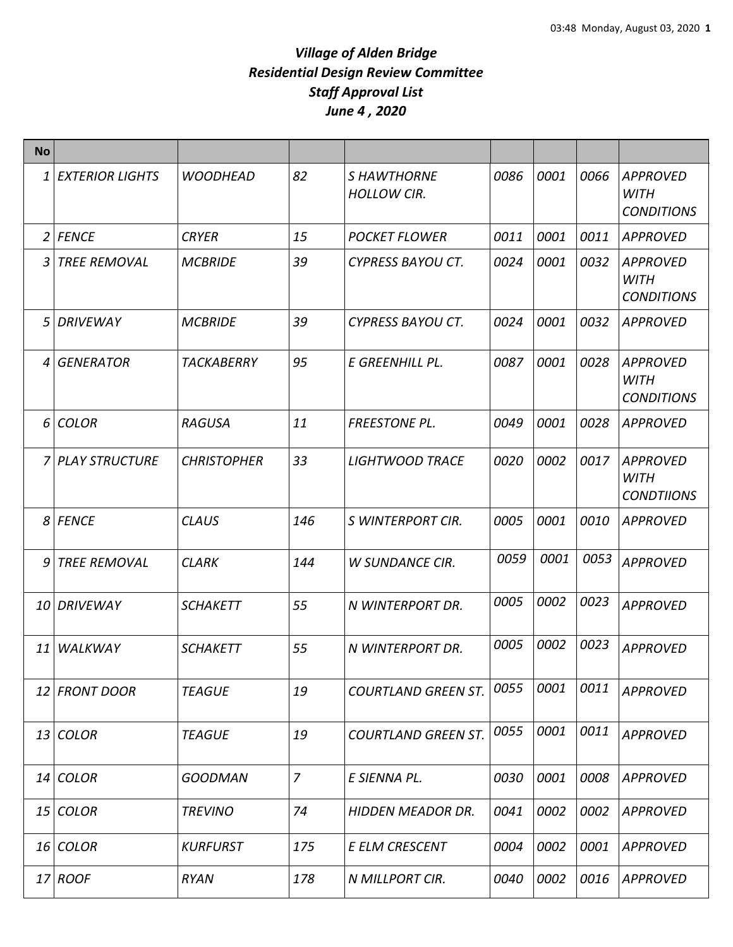| <b>No</b> |                        |                    |                |                                         |      |      |      |                                                     |
|-----------|------------------------|--------------------|----------------|-----------------------------------------|------|------|------|-----------------------------------------------------|
| 1         | <b>EXTERIOR LIGHTS</b> | <b>WOODHEAD</b>    | 82             | <b>SHAWTHORNE</b><br><b>HOLLOW CIR.</b> | 0086 | 0001 | 0066 | <b>APPROVED</b><br><b>WITH</b><br><b>CONDITIONS</b> |
|           | 2 FENCE                | <b>CRYER</b>       | 15             | <b>POCKET FLOWER</b>                    | 0011 | 0001 | 0011 | <b>APPROVED</b>                                     |
| 3         | <b>TREE REMOVAL</b>    | <b>MCBRIDE</b>     | 39             | <b>CYPRESS BAYOU CT.</b>                | 0024 | 0001 | 0032 | <b>APPROVED</b><br><b>WITH</b><br><b>CONDITIONS</b> |
| 5         | <b>DRIVEWAY</b>        | <b>MCBRIDE</b>     | 39             | <b>CYPRESS BAYOU CT.</b>                | 0024 | 0001 | 0032 | <b>APPROVED</b>                                     |
| 4         | <b>GENERATOR</b>       | TACKABERRY         | 95             | E GREENHILL PL.                         | 0087 | 0001 | 0028 | APPROVED<br><b>WITH</b><br><b>CONDITIONS</b>        |
| 6         | <b>COLOR</b>           | <b>RAGUSA</b>      | 11             | <b>FREESTONE PL.</b>                    | 0049 | 0001 | 0028 | <b>APPROVED</b>                                     |
|           | 7 PLAY STRUCTURE       | <b>CHRISTOPHER</b> | 33             | <b>LIGHTWOOD TRACE</b>                  | 0020 | 0002 | 0017 | <b>APPROVED</b><br><b>WITH</b><br><b>CONDTIIONS</b> |
|           | 8 FENCE                | <b>CLAUS</b>       | 146            | S WINTERPORT CIR.                       | 0005 | 0001 | 0010 | <b>APPROVED</b>                                     |
| 9         | TREE REMOVAL           | <b>CLARK</b>       | 144            | <b>W SUNDANCE CIR.</b>                  | 0059 | 0001 | 0053 | <b>APPROVED</b>                                     |
|           | 10 DRIVEWAY            | <b>SCHAKETT</b>    | 55             | N WINTERPORT DR.                        | 0005 | 0002 | 0023 | <b>APPROVED</b>                                     |
| 11        | WALKWAY                | <b>SCHAKETT</b>    | 55             | N WINTERPORT DR.                        | 0005 | 0002 | 0023 | <b>APPROVED</b>                                     |
|           | 12 FRONT DOOR          | <b>TEAGUE</b>      | 19             | <b>COURTLAND GREEN ST.</b>              | 0055 | 0001 | 0011 | <b>APPROVED</b>                                     |
|           | 13 COLOR               | <b>TEAGUE</b>      | 19             | <b>COURTLAND GREEN ST.</b>              | 0055 | 0001 | 0011 | <b>APPROVED</b>                                     |
|           | 14 COLOR               | <b>GOODMAN</b>     | $\overline{7}$ | E SIENNA PL.                            | 0030 | 0001 | 0008 | <b>APPROVED</b>                                     |
|           | 15 COLOR               | <b>TREVINO</b>     | 74             | <b>HIDDEN MEADOR DR.</b>                | 0041 | 0002 | 0002 | <b>APPROVED</b>                                     |
|           | 16 COLOR               | <b>KURFURST</b>    | 175            | E ELM CRESCENT                          | 0004 | 0002 | 0001 | <b>APPROVED</b>                                     |
|           | 17 ROOF                | <b>RYAN</b>        | 178            | N MILLPORT CIR.                         | 0040 | 0002 | 0016 | <b>APPROVED</b>                                     |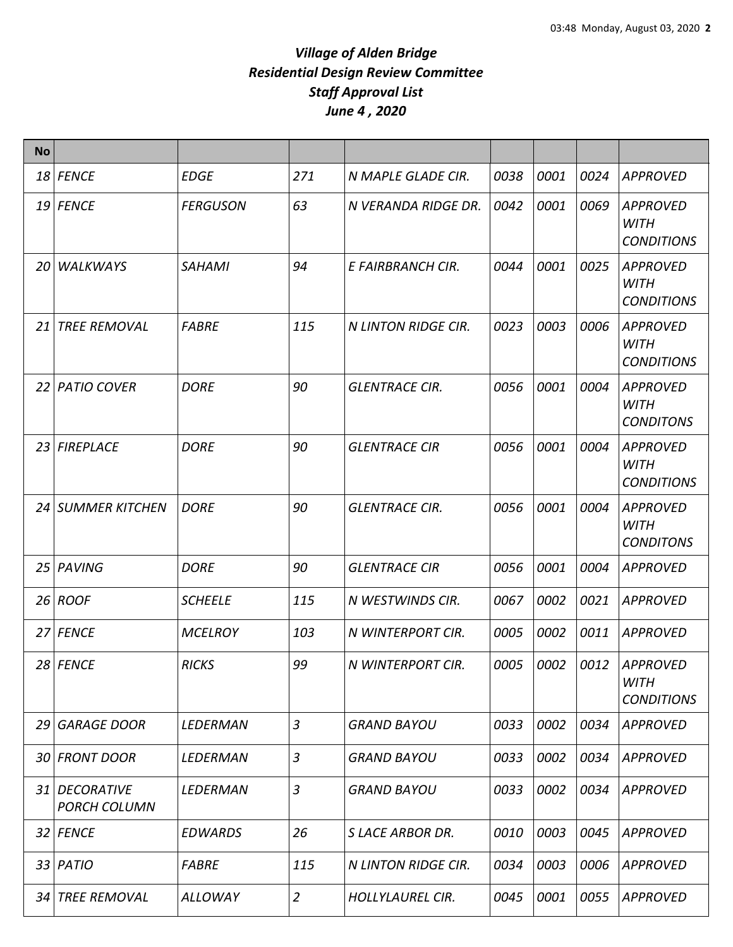| <b>No</b> |                                      |                 |                |                            |      |      |      |                                                     |
|-----------|--------------------------------------|-----------------|----------------|----------------------------|------|------|------|-----------------------------------------------------|
|           | 18 FENCE                             | <b>EDGE</b>     | 271            | N MAPLE GLADE CIR.         | 0038 | 0001 | 0024 | <b>APPROVED</b>                                     |
|           | 19 FENCE                             | <b>FERGUSON</b> | 63             | N VERANDA RIDGE DR.        | 0042 | 0001 | 0069 | <b>APPROVED</b><br><b>WITH</b><br><b>CONDITIONS</b> |
|           | 20 WALKWAYS                          | <b>SAHAMI</b>   | 94             | E FAIRBRANCH CIR.          | 0044 | 0001 | 0025 | <b>APPROVED</b><br><b>WITH</b><br><b>CONDITIONS</b> |
| 21        | <b>TREE REMOVAL</b>                  | <b>FABRE</b>    | 115            | <b>N LINTON RIDGE CIR.</b> | 0023 | 0003 | 0006 | <b>APPROVED</b><br><b>WITH</b><br><b>CONDITIONS</b> |
|           | 22 PATIO COVER                       | <b>DORE</b>     | 90             | <b>GLENTRACE CIR.</b>      | 0056 | 0001 | 0004 | <b>APPROVED</b><br>WITH<br><b>CONDITONS</b>         |
|           | 23 FIREPLACE                         | <b>DORE</b>     | 90             | <b>GLENTRACE CIR</b>       | 0056 | 0001 | 0004 | <b>APPROVED</b><br>WITH<br><b>CONDITIONS</b>        |
|           | 24 SUMMER KITCHEN                    | <b>DORE</b>     | 90             | <b>GLENTRACE CIR.</b>      | 0056 | 0001 | 0004 | <b>APPROVED</b><br><b>WITH</b><br><b>CONDITONS</b>  |
|           | 25 PAVING                            | <b>DORE</b>     | 90             | <b>GLENTRACE CIR</b>       | 0056 | 0001 | 0004 | <b>APPROVED</b>                                     |
|           | $26$ ROOF                            | <b>SCHEELE</b>  | 115            | N WESTWINDS CIR.           | 0067 | 0002 | 0021 | <b>APPROVED</b>                                     |
|           | 27 FENCE                             | <b>MCELROY</b>  | 103            | N WINTERPORT CIR.          | 0005 | 0002 | 0011 | <b>APPROVED</b>                                     |
|           | 28 FENCE                             | <b>RICKS</b>    | 99             | N WINTERPORT CIR.          | 0005 | 0002 | 0012 | <b>APPROVED</b><br><b>WITH</b><br><b>CONDITIONS</b> |
| 29        | <b>GARAGE DOOR</b>                   | LEDERMAN        | 3              | <b>GRAND BAYOU</b>         | 0033 | 0002 | 0034 | <b>APPROVED</b>                                     |
|           | 30 FRONT DOOR                        | LEDERMAN        | 3              | <b>GRAND BAYOU</b>         | 0033 | 0002 | 0034 | <b>APPROVED</b>                                     |
|           | 31 DECORATIVE<br><b>PORCH COLUMN</b> | LEDERMAN        | 3              | <b>GRAND BAYOU</b>         | 0033 | 0002 | 0034 | <b>APPROVED</b>                                     |
|           | 32 FENCE                             | <b>EDWARDS</b>  | 26             | <b>SLACE ARBOR DR.</b>     | 0010 | 0003 | 0045 | <b>APPROVED</b>                                     |
|           | $33$ PATIO                           | <b>FABRE</b>    | 115            | N LINTON RIDGE CIR.        | 0034 | 0003 | 0006 | <b>APPROVED</b>                                     |
| 34 I      | <b>TREE REMOVAL</b>                  | ALLOWAY         | $\overline{2}$ | <b>HOLLYLAUREL CIR.</b>    | 0045 | 0001 | 0055 | <b>APPROVED</b>                                     |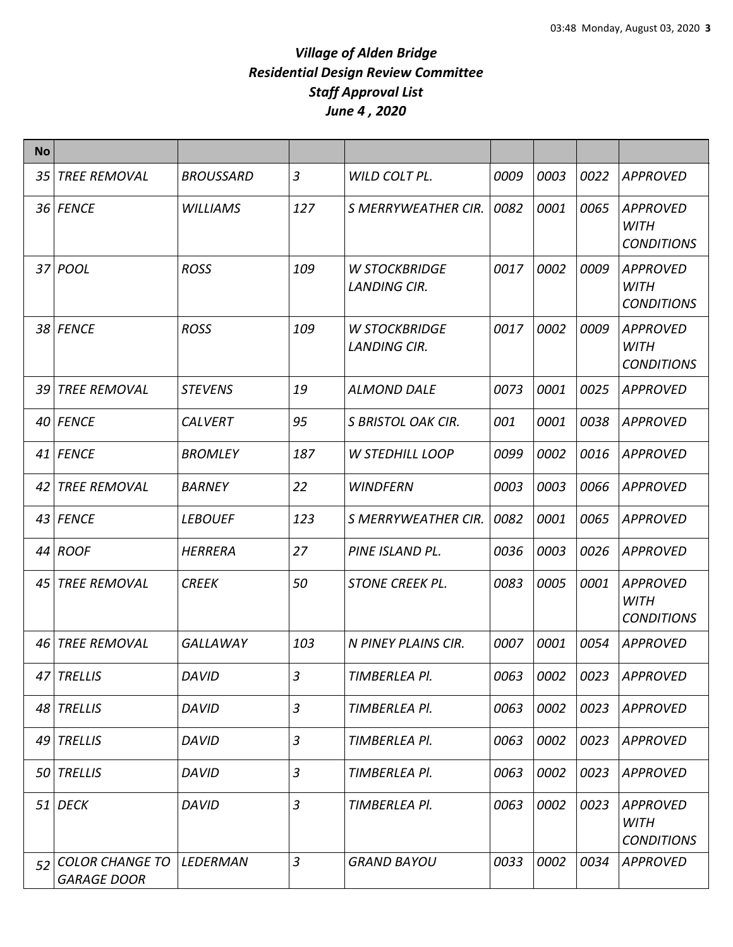| <b>No</b> |                                              |                  |                |                                             |      |      |      |                                                     |
|-----------|----------------------------------------------|------------------|----------------|---------------------------------------------|------|------|------|-----------------------------------------------------|
| 35        | <b>TREE REMOVAL</b>                          | <b>BROUSSARD</b> | $\mathfrak{Z}$ | WILD COLT PL.                               | 0009 | 0003 | 0022 | <b>APPROVED</b>                                     |
|           | 36 FENCE                                     | <b>WILLIAMS</b>  | 127            | <b>S MERRYWEATHER CIR.</b>                  | 0082 | 0001 | 0065 | <b>APPROVED</b><br><b>WITH</b><br><b>CONDITIONS</b> |
| 37        | POOL                                         | <b>ROSS</b>      | 109            | <b>W STOCKBRIDGE</b><br><b>LANDING CIR.</b> | 0017 | 0002 | 0009 | <b>APPROVED</b><br><b>WITH</b><br><b>CONDITIONS</b> |
|           | 38 FENCE                                     | <b>ROSS</b>      | 109            | <b>W STOCKBRIDGE</b><br><b>LANDING CIR.</b> | 0017 | 0002 | 0009 | <b>APPROVED</b><br><b>WITH</b><br><b>CONDITIONS</b> |
| 39        | <b>TREE REMOVAL</b>                          | <b>STEVENS</b>   | 19             | <b>ALMOND DALE</b>                          | 0073 | 0001 | 0025 | <b>APPROVED</b>                                     |
|           | 40 FENCE                                     | <b>CALVERT</b>   | 95             | S BRISTOL OAK CIR.                          | 001  | 0001 | 0038 | <b>APPROVED</b>                                     |
|           | 41 FENCE                                     | <b>BROMLEY</b>   | 187            | <b>W STEDHILL LOOP</b>                      | 0099 | 0002 | 0016 | <b>APPROVED</b>                                     |
| 42        | <b>TREE REMOVAL</b>                          | <b>BARNEY</b>    | 22             | <b>WINDFERN</b>                             | 0003 | 0003 | 0066 | <b>APPROVED</b>                                     |
|           | 43 FENCE                                     | <b>LEBOUEF</b>   | 123            | <b>S MERRYWEATHER CIR.</b>                  | 0082 | 0001 | 0065 | <b>APPROVED</b>                                     |
|           | 44 ROOF                                      | <b>HERRERA</b>   | 27             | PINE ISLAND PL.                             | 0036 | 0003 | 0026 | <b>APPROVED</b>                                     |
| 45        | <b>TREE REMOVAL</b>                          | <b>CREEK</b>     | 50             | <b>STONE CREEK PL.</b>                      | 0083 | 0005 | 0001 | <b>APPROVED</b><br><b>WITH</b><br><b>CONDITIONS</b> |
| 46        | <b>TREE REMOVAL</b>                          | <b>GALLAWAY</b>  | 103            | N PINEY PLAINS CIR.                         | 0007 | 0001 | 0054 | APPROVED                                            |
|           | 47 TRELLIS                                   | DAVID            | $\mathbf{3}$   | TIMBERLEA Pl.                               | 0063 | 0002 | 0023 | APPROVED                                            |
|           | 48 TRELLIS                                   | <b>DAVID</b>     | $\mathfrak{Z}$ | TIMBERLEA PI.                               | 0063 | 0002 | 0023 | <b>APPROVED</b>                                     |
|           | 49 TRELLIS                                   | <b>DAVID</b>     | $\overline{3}$ | TIMBERLEA PI.                               | 0063 | 0002 | 0023 | APPROVED                                            |
|           | 50 TRELLIS                                   | <b>DAVID</b>     | 3              | TIMBERLEA Pl.                               | 0063 | 0002 | 0023 | <b>APPROVED</b>                                     |
|           | $51$ DECK                                    | <b>DAVID</b>     | $\overline{3}$ | TIMBERLEA Pl.                               | 0063 | 0002 | 0023 | <b>APPROVED</b><br><b>WITH</b><br><b>CONDITIONS</b> |
| 52        | <b>COLOR CHANGE TO</b><br><b>GARAGE DOOR</b> | LEDERMAN         | $\mathfrak{Z}$ | <b>GRAND BAYOU</b>                          | 0033 | 0002 | 0034 | <b>APPROVED</b>                                     |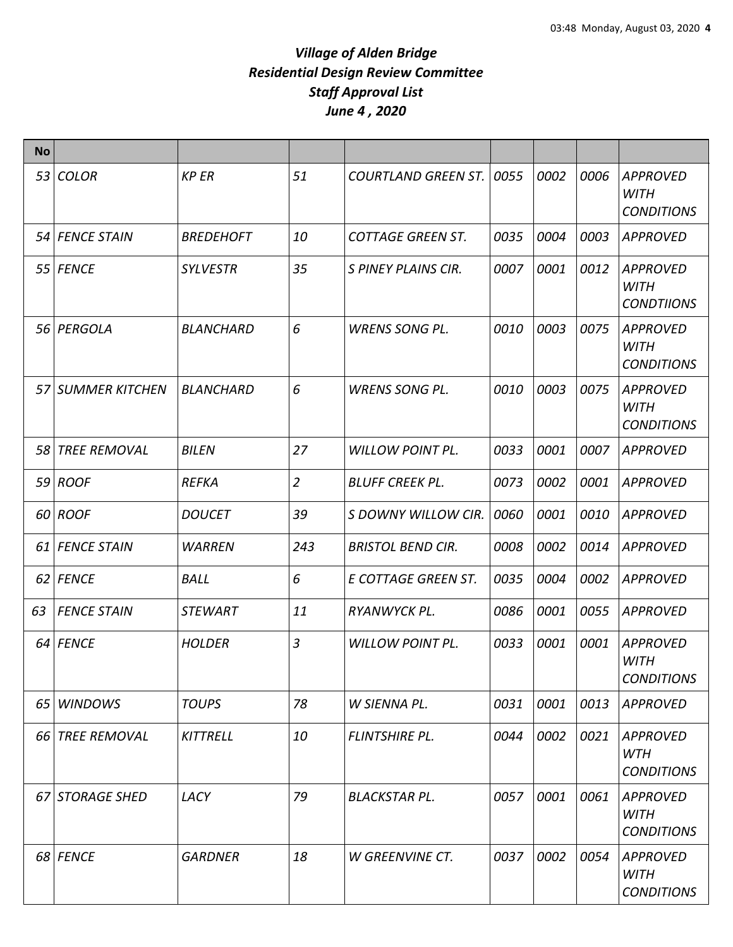| <b>No</b> |                     |                  |                |                            |      |      |      |                                                     |
|-----------|---------------------|------------------|----------------|----------------------------|------|------|------|-----------------------------------------------------|
| 53        | <b>COLOR</b>        | <b>KP ER</b>     | 51             | <b>COURTLAND GREEN ST.</b> | 0055 | 0002 | 0006 | <b>APPROVED</b><br><b>WITH</b><br><b>CONDITIONS</b> |
|           | 54 FENCE STAIN      | <b>BREDEHOFT</b> | 10             | <b>COTTAGE GREEN ST.</b>   | 0035 | 0004 | 0003 | <b>APPROVED</b>                                     |
|           | 55 FENCE            | <b>SYLVESTR</b>  | 35             | S PINEY PLAINS CIR.        | 0007 | 0001 | 0012 | <b>APPROVED</b><br><b>WITH</b><br><b>CONDTIIONS</b> |
|           | 56 PERGOLA          | <b>BLANCHARD</b> | 6              | <b>WRENS SONG PL.</b>      | 0010 | 0003 | 0075 | <b>APPROVED</b><br><b>WITH</b><br><b>CONDITIONS</b> |
|           | 57 SUMMER KITCHEN   | <b>BLANCHARD</b> | 6              | <b>WRENS SONG PL.</b>      | 0010 | 0003 | 0075 | <b>APPROVED</b><br><b>WITH</b><br><b>CONDITIONS</b> |
| 58        | <b>TREE REMOVAL</b> | <b>BILEN</b>     | 27             | <b>WILLOW POINT PL.</b>    | 0033 | 0001 | 0007 | APPROVED                                            |
|           | 59 ROOF             | <b>REFKA</b>     | $\overline{2}$ | <b>BLUFF CREEK PL.</b>     | 0073 | 0002 | 0001 | <b>APPROVED</b>                                     |
|           | 60 ROOF             | <b>DOUCET</b>    | 39             | S DOWNY WILLOW CIR.        | 0060 | 0001 | 0010 | <b>APPROVED</b>                                     |
|           | 61 FENCE STAIN      | <b>WARREN</b>    | 243            | <b>BRISTOL BEND CIR.</b>   | 0008 | 0002 | 0014 | <b>APPROVED</b>                                     |
|           | 62 FENCE            | <b>BALL</b>      | 6              | E COTTAGE GREEN ST.        | 0035 | 0004 | 0002 | <b>APPROVED</b>                                     |
| 63        | <b>FENCE STAIN</b>  | <b>STEWART</b>   | 11             | RYANWYCK PL.               | 0086 | 0001 | 0055 | <b>APPROVED</b>                                     |
|           | 64 FENCE            | <b>HOLDER</b>    | $\overline{3}$ | <b>WILLOW POINT PL.</b>    | 0033 | 0001 | 0001 | <b>APPROVED</b><br><b>WITH</b><br><b>CONDITIONS</b> |
| 65        | <b>WINDOWS</b>      | <b>TOUPS</b>     | 78             | W SIENNA PL.               | 0031 | 0001 | 0013 | <b>APPROVED</b>                                     |
|           | 66 TREE REMOVAL     | <b>KITTRELL</b>  | 10             | FLINTSHIRE PL.             | 0044 | 0002 | 0021 | <b>APPROVED</b><br><b>WTH</b><br><b>CONDITIONS</b>  |
| 67        | <b>STORAGE SHED</b> | LACY             | 79             | <b>BLACKSTAR PL.</b>       | 0057 | 0001 | 0061 | <b>APPROVED</b><br><b>WITH</b><br><b>CONDITIONS</b> |
|           | 68 FENCE            | <b>GARDNER</b>   | 18             | <b>W GREENVINE CT.</b>     | 0037 | 0002 | 0054 | <b>APPROVED</b><br><b>WITH</b><br><b>CONDITIONS</b> |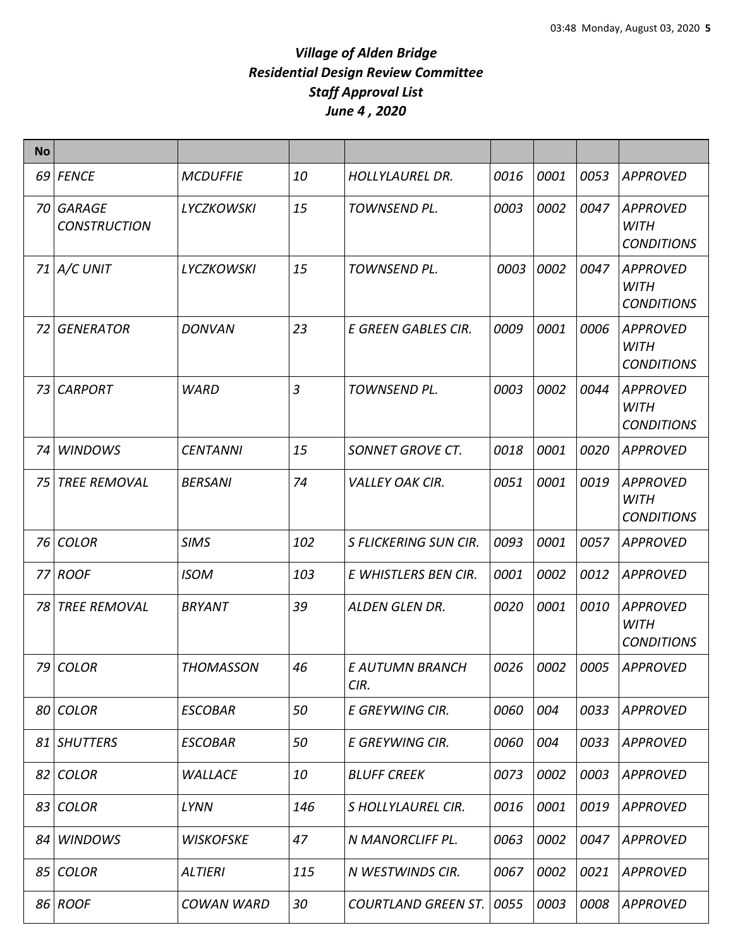| <b>No</b> |                                  |                   |     |                            |      |      |      |                                                     |
|-----------|----------------------------------|-------------------|-----|----------------------------|------|------|------|-----------------------------------------------------|
|           | 69 FENCE                         | <b>MCDUFFIE</b>   | 10  | <b>HOLLYLAUREL DR.</b>     | 0016 | 0001 | 0053 | <b>APPROVED</b>                                     |
|           | 70 GARAGE<br><b>CONSTRUCTION</b> | <b>LYCZKOWSKI</b> | 15  | TOWNSEND PL.               | 0003 | 0002 | 0047 | <b>APPROVED</b><br><b>WITH</b><br><b>CONDITIONS</b> |
|           | $71$ $A/C$ UNIT                  | <b>LYCZKOWSKI</b> | 15  | TOWNSEND PL.               | 0003 | 0002 | 0047 | <b>APPROVED</b><br><b>WITH</b><br><b>CONDITIONS</b> |
| 72        | <b>GENERATOR</b>                 | <b>DONVAN</b>     | 23  | E GREEN GABLES CIR.        | 0009 | 0001 | 0006 | <b>APPROVED</b><br><b>WITH</b><br><b>CONDITIONS</b> |
| 73        | <b>CARPORT</b>                   | <b>WARD</b>       | 3   | TOWNSEND PL.               | 0003 | 0002 | 0044 | <b>APPROVED</b><br><b>WITH</b><br><b>CONDITIONS</b> |
| 74        | <b>WINDOWS</b>                   | <b>CENTANNI</b>   | 15  | <b>SONNET GROVE CT.</b>    | 0018 | 0001 | 0020 | <b>APPROVED</b>                                     |
| 75 I      | <b>TREE REMOVAL</b>              | <b>BERSANI</b>    | 74  | <b>VALLEY OAK CIR.</b>     | 0051 | 0001 | 0019 | <b>APPROVED</b><br><b>WITH</b><br><b>CONDITIONS</b> |
| 76        | <b>COLOR</b>                     | <b>SIMS</b>       | 102 | S FLICKERING SUN CIR.      | 0093 | 0001 | 0057 | <b>APPROVED</b>                                     |
|           | 77 ROOF                          | <b>ISOM</b>       | 103 | E WHISTLERS BEN CIR.       | 0001 | 0002 | 0012 | <b>APPROVED</b>                                     |
|           | 78 TREE REMOVAL                  | <b>BRYANT</b>     | 39  | ALDEN GLEN DR.             | 0020 | 0001 | 0010 | <b>APPROVED</b><br><b>WITH</b><br><b>CONDITIONS</b> |
|           | 79 COLOR                         | <b>THOMASSON</b>  | 46  | E AUTUMN BRANCH<br>CIR.    | 0026 | 0002 | 0005 | <b>APPROVED</b>                                     |
|           | 80 COLOR                         | <b>ESCOBAR</b>    | 50  | E GREYWING CIR.            | 0060 | 004  | 0033 | <b>APPROVED</b>                                     |
|           | 81 SHUTTERS                      | <b>ESCOBAR</b>    | 50  | E GREYWING CIR.            | 0060 | 004  | 0033 | <b>APPROVED</b>                                     |
|           | 82 COLOR                         | <b>WALLACE</b>    | 10  | <b>BLUFF CREEK</b>         | 0073 | 0002 | 0003 | <b>APPROVED</b>                                     |
|           | 83 COLOR                         | LYNN              | 146 | S HOLLYLAUREL CIR.         | 0016 | 0001 | 0019 | <b>APPROVED</b>                                     |
|           | 84 WINDOWS                       | <b>WISKOFSKE</b>  | 47  | N MANORCLIFF PL.           | 0063 | 0002 | 0047 | <b>APPROVED</b>                                     |
|           | 85 COLOR                         | <b>ALTIERI</b>    | 115 | N WESTWINDS CIR.           | 0067 | 0002 | 0021 | <b>APPROVED</b>                                     |
|           | 86 ROOF                          | <b>COWAN WARD</b> | 30  | <b>COURTLAND GREEN ST.</b> | 0055 | 0003 | 0008 | <b>APPROVED</b>                                     |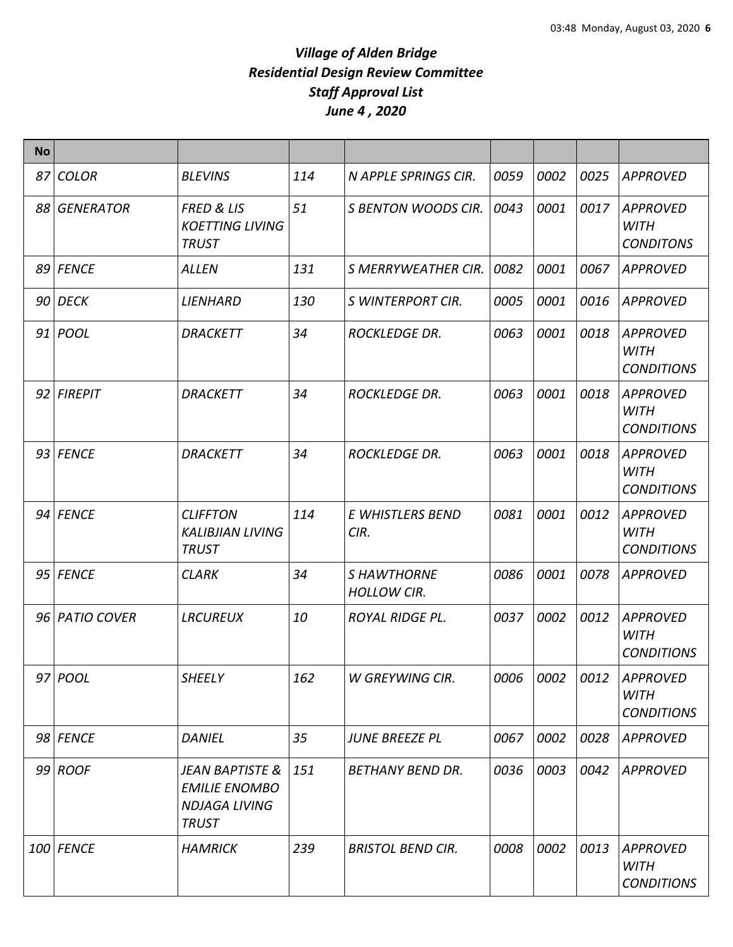| <b>No</b> |                  |                                                                                            |     |                                         |      |      |      |                                                     |
|-----------|------------------|--------------------------------------------------------------------------------------------|-----|-----------------------------------------|------|------|------|-----------------------------------------------------|
| 87        | <b>COLOR</b>     | <b>BLEVINS</b>                                                                             | 114 | N APPLE SPRINGS CIR.                    | 0059 | 0002 | 0025 | <b>APPROVED</b>                                     |
| 88        | <b>GENERATOR</b> | <b>FRED &amp; LIS</b><br><b>KOETTING LIVING</b><br><b>TRUST</b>                            | 51  | <b>S BENTON WOODS CIR.</b>              | 0043 | 0001 | 0017 | <b>APPROVED</b><br><b>WITH</b><br><b>CONDITONS</b>  |
|           | 89 FENCE         | <b>ALLEN</b>                                                                               | 131 | <b>S MERRYWEATHER CIR.</b>              | 0082 | 0001 | 0067 | <b>APPROVED</b>                                     |
|           | 90 DECK          | LIENHARD                                                                                   | 130 | <b>S WINTERPORT CIR.</b>                | 0005 | 0001 | 0016 | <b>APPROVED</b>                                     |
|           | 91 <i>POOL</i>   | <b>DRACKETT</b>                                                                            | 34  | <b>ROCKLEDGE DR.</b>                    | 0063 | 0001 | 0018 | <b>APPROVED</b><br><b>WITH</b><br><b>CONDITIONS</b> |
|           | 92 FIREPIT       | <b>DRACKETT</b>                                                                            | 34  | <b>ROCKLEDGE DR.</b>                    | 0063 | 0001 | 0018 | <b>APPROVED</b><br><b>WITH</b><br><b>CONDITIONS</b> |
|           | 93 FENCE         | <b>DRACKETT</b>                                                                            | 34  | <b>ROCKLEDGE DR.</b>                    | 0063 | 0001 | 0018 | <b>APPROVED</b><br><b>WITH</b><br><b>CONDITIONS</b> |
|           | 94 FENCE         | <b>CLIFFTON</b><br><b>KALIBJIAN LIVING</b><br><b>TRUST</b>                                 | 114 | E WHISTLERS BEND<br>CIR.                | 0081 | 0001 | 0012 | <b>APPROVED</b><br><b>WITH</b><br><b>CONDITIONS</b> |
|           | 95 FENCE         | <b>CLARK</b>                                                                               | 34  | <b>SHAWTHORNE</b><br><b>HOLLOW CIR.</b> | 0086 | 0001 | 0078 | <b>APPROVED</b>                                     |
|           | 96 PATIO COVER   | <b>LRCUREUX</b>                                                                            | 10  | <b>ROYAL RIDGE PL.</b>                  | 0037 | 0002 | 0012 | <b>APPROVED</b><br><b>WITH</b><br><b>CONDITIONS</b> |
|           | 97 <i>POOL</i>   | SHEELY                                                                                     | 162 | W GREYWING CIR.                         | 0006 | 0002 | 0012 | APPROVED<br><b>WITH</b><br><b>CONDITIONS</b>        |
|           | 98 FENCE         | <b>DANIEL</b>                                                                              | 35  | <b>JUNE BREEZE PL</b>                   | 0067 | 0002 | 0028 | APPROVED                                            |
|           | $99$ ROOF        | <b>JEAN BAPTISTE &amp;</b><br><b>EMILIE ENOMBO</b><br><b>NDJAGA LIVING</b><br><b>TRUST</b> | 151 | <b>BETHANY BEND DR.</b>                 | 0036 | 0003 | 0042 | APPROVED                                            |
|           | 100 FENCE        | <b>HAMRICK</b>                                                                             | 239 | <b>BRISTOL BEND CIR.</b>                | 0008 | 0002 | 0013 | <b>APPROVED</b><br><b>WITH</b><br><b>CONDITIONS</b> |